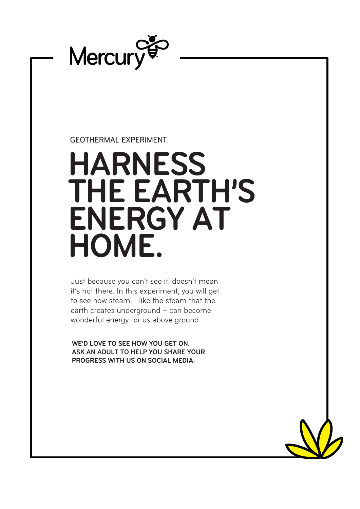

## GEOTHERMAL EXPERIMENT.

## **HARNESS THE EARTH'S ENERGY AT HOME.**

Just because you can't see it, doesn't mean it's not there. In this experiment, you will get to see how steam – like the steam that the earth creates underground – can become wonderful energy for us above ground.

**WE'D LOVE TO SEE HOW YOU GET ON. ASK AN ADULT TO HELP YOU SHARE YOUR PROGRESS WITH US ON SOCIAL MEDIA.**